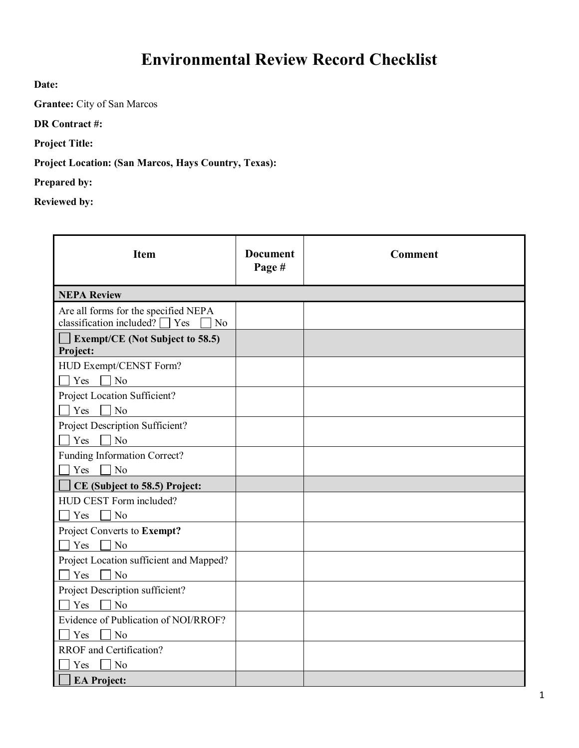## **Environmental Review Record Checklist**

**Date:**

**Grantee:** City of San Marcos

**DR Contract #:**

**Project Title:**

**Project Location: (San Marcos, Hays Country, Texas):** 

**Prepared by:**

**Reviewed by:**

| <b>Item</b>                                                                       | <b>Document</b><br>Page # | <b>Comment</b> |
|-----------------------------------------------------------------------------------|---------------------------|----------------|
| <b>NEPA Review</b>                                                                |                           |                |
| Are all forms for the specified NEPA<br>classification included? $\Box$ Yes<br>No |                           |                |
| <b>Exempt/CE</b> (Not Subject to 58.5)<br>Project:                                |                           |                |
| HUD Exempt/CENST Form?                                                            |                           |                |
| $\neg$ No<br>Yes                                                                  |                           |                |
| Project Location Sufficient?                                                      |                           |                |
| $\Box$ No<br>Yes                                                                  |                           |                |
| Project Description Sufficient?                                                   |                           |                |
| $\Box$ No<br>Yes                                                                  |                           |                |
| Funding Information Correct?                                                      |                           |                |
| Yes $\Box$ No                                                                     |                           |                |
| CE (Subject to 58.5) Project:                                                     |                           |                |
| HUD CEST Form included?                                                           |                           |                |
| $\Box$ No<br>Yes                                                                  |                           |                |
| Project Converts to Exempt?                                                       |                           |                |
| Yes<br>$\Box$ No                                                                  |                           |                |
| Project Location sufficient and Mapped?                                           |                           |                |
| Yes<br>$\neg$ No                                                                  |                           |                |
| Project Description sufficient?                                                   |                           |                |
| Yes<br>$\Box$ No                                                                  |                           |                |
| Evidence of Publication of NOI/RROF?                                              |                           |                |
| Yes<br>N <sub>o</sub>                                                             |                           |                |
| RROF and Certification?                                                           |                           |                |
| $\exists$ No<br>Yes                                                               |                           |                |
| <b>EA Project:</b>                                                                |                           |                |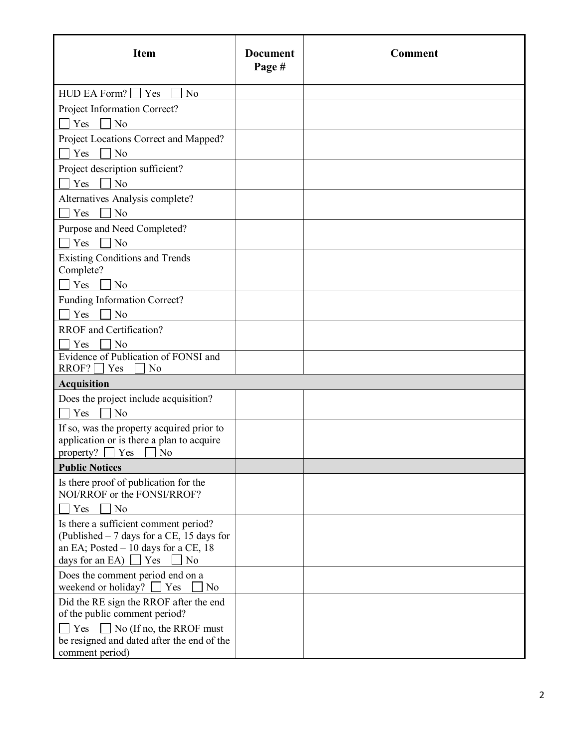| <b>Item</b>                                                         | <b>Document</b><br>Page # | <b>Comment</b> |
|---------------------------------------------------------------------|---------------------------|----------------|
| $HUD$ EA Form? $\Box$ Yes<br>No                                     |                           |                |
| Project Information Correct?                                        |                           |                |
| N <sub>o</sub><br>Yes                                               |                           |                |
| Project Locations Correct and Mapped?                               |                           |                |
| Yes<br>No                                                           |                           |                |
| Project description sufficient?                                     |                           |                |
| Yes<br>N <sub>o</sub>                                               |                           |                |
| Alternatives Analysis complete?                                     |                           |                |
| Yes<br>N <sub>o</sub><br>$\mathbf{1}$                               |                           |                |
| Purpose and Need Completed?                                         |                           |                |
| No<br>Yes                                                           |                           |                |
| <b>Existing Conditions and Trends</b>                               |                           |                |
| Complete?                                                           |                           |                |
| Yes<br>No                                                           |                           |                |
| Funding Information Correct?                                        |                           |                |
| $\neg$ No<br>Yes                                                    |                           |                |
| <b>RROF</b> and Certification?                                      |                           |                |
| Yes<br>No<br>Evidence of Publication of FONSI and                   |                           |                |
| $RROF?$ Yes<br>N <sub>o</sub>                                       |                           |                |
| <b>Acquisition</b>                                                  |                           |                |
| Does the project include acquisition?                               |                           |                |
| Yes<br>N <sub>o</sub>                                               |                           |                |
| If so, was the property acquired prior to                           |                           |                |
| application or is there a plan to acquire<br>property?<br>Yes<br>No |                           |                |
| <b>Public Notices</b>                                               |                           |                |
| Is there proof of publication for the                               |                           |                |
| NOI/RROF or the FONSI/RROF?                                         |                           |                |
| N <sub>o</sub><br>Yes                                               |                           |                |
| Is there a sufficient comment period?                               |                           |                |
| (Published $-7$ days for a CE, 15 days for                          |                           |                |
| an EA; Posted $-10$ days for a CE, 18<br>N <sub>o</sub>             |                           |                |
| days for an EA) $\Box$ Yes<br>Does the comment period end on a      |                           |                |
| weekend or holiday?<br>$\blacksquare$ Yes<br>N <sub>o</sub>         |                           |                |
| Did the RE sign the RROF after the end                              |                           |                |
| of the public comment period?                                       |                           |                |
| $\Box$ No (If no, the RROF must<br>Yes                              |                           |                |
| be resigned and dated after the end of the<br>comment period)       |                           |                |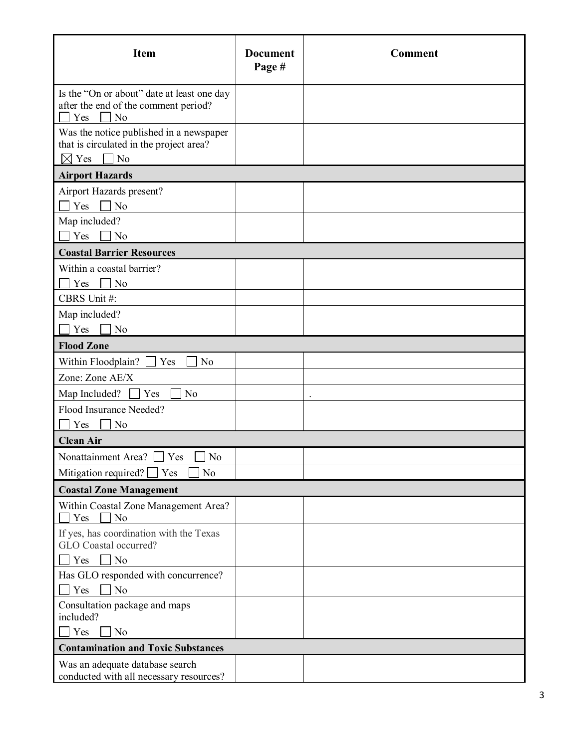| <b>Item</b>                                                                                                        | <b>Document</b><br>Page # | <b>Comment</b> |
|--------------------------------------------------------------------------------------------------------------------|---------------------------|----------------|
| Is the "On or about" date at least one day<br>after the end of the comment period?<br>N <sub>o</sub><br>Yes        |                           |                |
| Was the notice published in a newspaper<br>that is circulated in the project area?<br>$\boxtimes$ Yes<br>$\neg$ No |                           |                |
| <b>Airport Hazards</b>                                                                                             |                           |                |
| Airport Hazards present?                                                                                           |                           |                |
| Yes<br>N <sub>o</sub>                                                                                              |                           |                |
| Map included?                                                                                                      |                           |                |
| Yes<br>No                                                                                                          |                           |                |
| <b>Coastal Barrier Resources</b>                                                                                   |                           |                |
| Within a coastal barrier?                                                                                          |                           |                |
| Yes<br>No                                                                                                          |                           |                |
| CBRS Unit #:                                                                                                       |                           |                |
| Map included?                                                                                                      |                           |                |
| Yes<br>N <sub>o</sub>                                                                                              |                           |                |
| <b>Flood Zone</b>                                                                                                  |                           |                |
| Within Floodplain?<br>No<br>Yes                                                                                    |                           |                |
| Zone: Zone AE/X                                                                                                    |                           |                |
| Map Included?<br>Yes<br>N <sub>o</sub>                                                                             |                           |                |
| Flood Insurance Needed?                                                                                            |                           |                |
| Yes<br>No                                                                                                          |                           |                |
| <b>Clean Air</b>                                                                                                   |                           |                |
| Nonattainment Area? $\Box$ Yes $\Box$ No                                                                           |                           |                |
| Mitigation required? $\Box$ Yes<br>No                                                                              |                           |                |
| <b>Coastal Zone Management</b>                                                                                     |                           |                |
| Within Coastal Zone Management Area?<br>Yes<br>No                                                                  |                           |                |
| If yes, has coordination with the Texas<br>GLO Coastal occurred?                                                   |                           |                |
| $\Box$ No<br>Yes                                                                                                   |                           |                |
| Has GLO responded with concurrence?<br>Yes<br>N <sub>o</sub>                                                       |                           |                |
| Consultation package and maps<br>included?                                                                         |                           |                |
| Yes<br>No                                                                                                          |                           |                |
| <b>Contamination and Toxic Substances</b>                                                                          |                           |                |
| Was an adequate database search<br>conducted with all necessary resources?                                         |                           |                |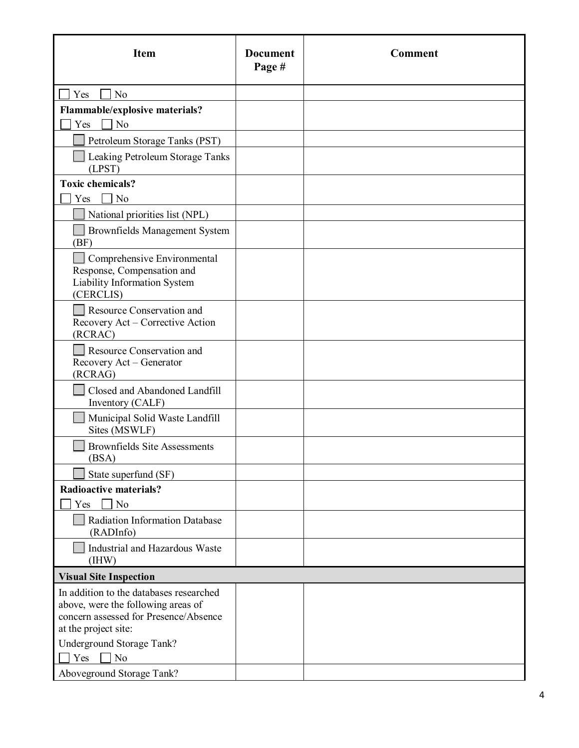| <b>Item</b>                                                                                                                                    | <b>Document</b><br>Page # | <b>Comment</b> |
|------------------------------------------------------------------------------------------------------------------------------------------------|---------------------------|----------------|
| Yes<br>No                                                                                                                                      |                           |                |
| Flammable/explosive materials?                                                                                                                 |                           |                |
| N <sub>o</sub><br>Yes                                                                                                                          |                           |                |
| Petroleum Storage Tanks (PST)                                                                                                                  |                           |                |
| Leaking Petroleum Storage Tanks<br>(LPST)                                                                                                      |                           |                |
| <b>Toxic chemicals?</b>                                                                                                                        |                           |                |
| N <sub>o</sub><br>Yes                                                                                                                          |                           |                |
| National priorities list (NPL)                                                                                                                 |                           |                |
| Brownfields Management System<br>(BF)                                                                                                          |                           |                |
| Comprehensive Environmental<br>Response, Compensation and<br>Liability Information System<br>(CERCLIS)                                         |                           |                |
| Resource Conservation and<br>Recovery Act - Corrective Action<br>(RCRAC)                                                                       |                           |                |
| Resource Conservation and<br>Recovery Act - Generator<br>(RCRAG)                                                                               |                           |                |
| Closed and Abandoned Landfill<br>Inventory (CALF)                                                                                              |                           |                |
| Municipal Solid Waste Landfill<br>Sites (MSWLF)                                                                                                |                           |                |
| <b>Brownfields Site Assessments</b><br>(BSA)                                                                                                   |                           |                |
| State superfund (SF)                                                                                                                           |                           |                |
| <b>Radioactive materials?</b><br>N <sub>o</sub><br>Yes                                                                                         |                           |                |
| Radiation Information Database<br>(RADInfo)                                                                                                    |                           |                |
| Industrial and Hazardous Waste<br>(HW)                                                                                                         |                           |                |
| <b>Visual Site Inspection</b>                                                                                                                  |                           |                |
| In addition to the databases researched<br>above, were the following areas of<br>concern assessed for Presence/Absence<br>at the project site: |                           |                |
| Underground Storage Tank?                                                                                                                      |                           |                |
| No<br>Yes                                                                                                                                      |                           |                |
| Aboveground Storage Tank?                                                                                                                      |                           |                |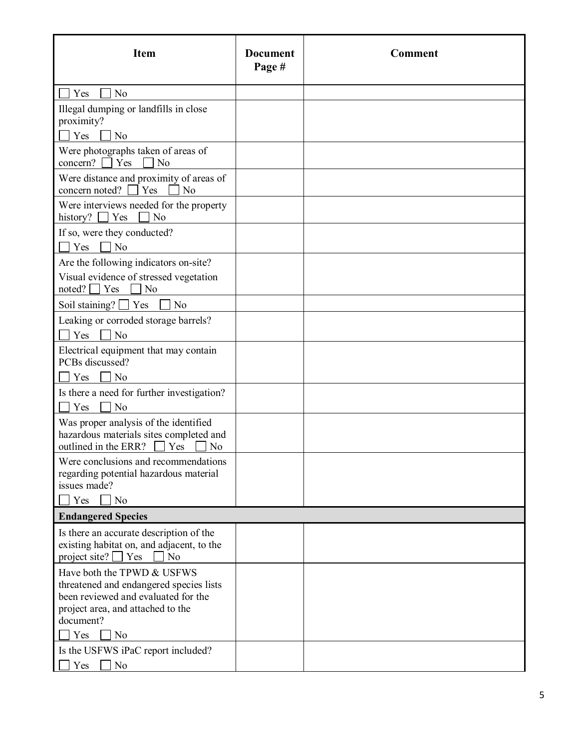| <b>Item</b>                                                                                                                                                                             | <b>Document</b><br>Page # | <b>Comment</b> |
|-----------------------------------------------------------------------------------------------------------------------------------------------------------------------------------------|---------------------------|----------------|
| Yes<br>No                                                                                                                                                                               |                           |                |
| Illegal dumping or landfills in close<br>proximity?<br>Yes<br>N <sub>o</sub>                                                                                                            |                           |                |
| Were photographs taken of areas of<br>concern?<br>Yes<br>N <sub>o</sub>                                                                                                                 |                           |                |
| Were distance and proximity of areas of<br>concern noted?<br>$\overline{N}$<br>$\vert$ Yes                                                                                              |                           |                |
| Were interviews needed for the property<br>  Yes<br>history?<br>No                                                                                                                      |                           |                |
| If so, were they conducted?<br>N <sub>o</sub><br>Yes                                                                                                                                    |                           |                |
| Are the following indicators on-site?<br>Visual evidence of stressed vegetation<br>noted? $\Box$ Yes<br>No                                                                              |                           |                |
| Soil staining? [<br>Yes<br>No                                                                                                                                                           |                           |                |
| Leaking or corroded storage barrels?<br>Yes<br>N <sub>o</sub>                                                                                                                           |                           |                |
| Electrical equipment that may contain<br>PCBs discussed?<br>N <sub>o</sub><br>Yes                                                                                                       |                           |                |
| Is there a need for further investigation?<br>N <sub>o</sub><br>Yes                                                                                                                     |                           |                |
| Was proper analysis of the identified<br>hazardous materials sites completed and<br>outlined in the ERR?<br>Yes<br>No                                                                   |                           |                |
| Were conclusions and recommendations<br>regarding potential hazardous material<br>issues made?<br>No<br>Yes                                                                             |                           |                |
| <b>Endangered Species</b>                                                                                                                                                               |                           |                |
| Is there an accurate description of the<br>existing habitat on, and adjacent, to the<br>project site? $\Box$ Yes<br>No                                                                  |                           |                |
| Have both the TPWD & USFWS<br>threatened and endangered species lists<br>been reviewed and evaluated for the<br>project area, and attached to the<br>document?<br>N <sub>o</sub><br>Yes |                           |                |
| Is the USFWS iPaC report included?<br>Yes<br>No                                                                                                                                         |                           |                |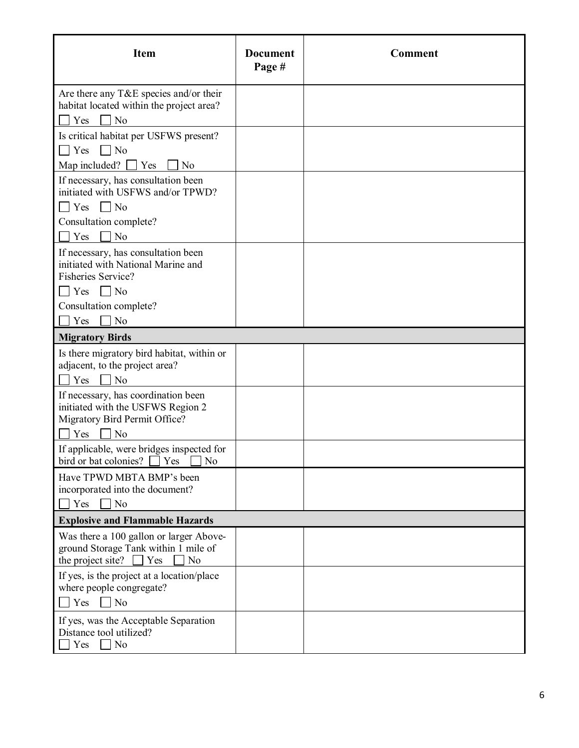| <b>Item</b>                                                                                                            | <b>Document</b><br>Page # | <b>Comment</b> |
|------------------------------------------------------------------------------------------------------------------------|---------------------------|----------------|
| Are there any T&E species and/or their<br>habitat located within the project area?<br>$\Box$ No<br>Yes                 |                           |                |
| Is critical habitat per USFWS present?<br>$\Box$ No<br>Yes<br>Map included?<br>$\Gamma$ Yes<br>N <sub>o</sub>          |                           |                |
| If necessary, has consultation been<br>initiated with USFWS and/or TPWD?<br>$\Box$ Yes $\Box$ No                       |                           |                |
| Consultation complete?<br>No<br>Yes                                                                                    |                           |                |
| If necessary, has consultation been<br>initiated with National Marine and<br>Fisheries Service?                        |                           |                |
| $\bigcap$ Yes $\bigcap$ No<br>Consultation complete?<br>No<br>Yes                                                      |                           |                |
| <b>Migratory Birds</b>                                                                                                 |                           |                |
| Is there migratory bird habitat, within or<br>adjacent, to the project area?<br>N <sub>o</sub><br>Yes                  |                           |                |
| If necessary, has coordination been<br>initiated with the USFWS Region 2<br>Migratory Bird Permit Office?<br>No<br>Yes |                           |                |
| If applicable, were bridges inspected for<br>bird or bat colonies?<br>Yes<br>No                                        |                           |                |
| Have TPWD MBTA BMP's been<br>incorporated into the document?<br>] No<br>Yes                                            |                           |                |
| <b>Explosive and Flammable Hazards</b>                                                                                 |                           |                |
| Was there a 100 gallon or larger Above-<br>ground Storage Tank within 1 mile of<br>the project site?<br>Yes<br>No      |                           |                |
| If yes, is the project at a location/place<br>where people congregate?<br>$\Box$ No<br>Yes                             |                           |                |
| If yes, was the Acceptable Separation<br>Distance tool utilized?<br>No<br>Yes                                          |                           |                |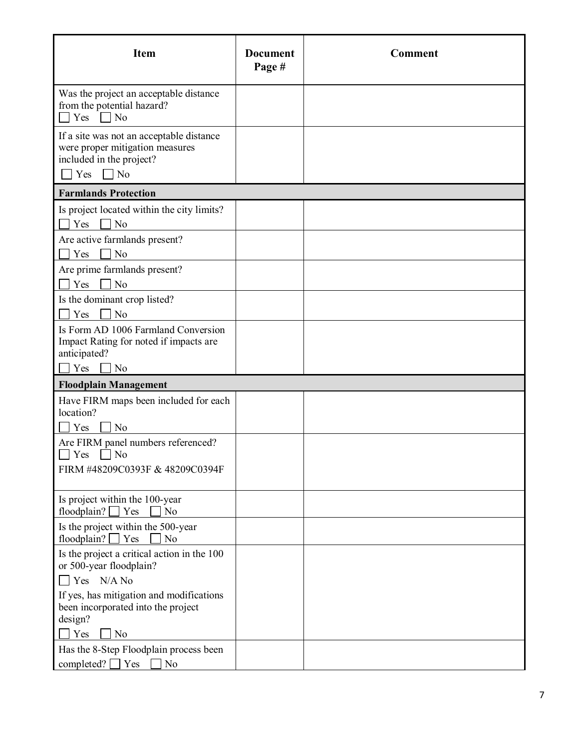| <b>Item</b>                                                                                                                 | <b>Document</b><br>Page # | <b>Comment</b> |
|-----------------------------------------------------------------------------------------------------------------------------|---------------------------|----------------|
| Was the project an acceptable distance<br>from the potential hazard?<br>N <sub>o</sub><br>Yes                               |                           |                |
| If a site was not an acceptable distance<br>were proper mitigation measures<br>included in the project?<br>$\Box$ No<br>Yes |                           |                |
| <b>Farmlands Protection</b>                                                                                                 |                           |                |
| Is project located within the city limits?<br>No<br>Yes                                                                     |                           |                |
| Are active farmlands present?<br>Yes<br>No                                                                                  |                           |                |
| Are prime farmlands present?<br>Yes<br>No                                                                                   |                           |                |
| Is the dominant crop listed?<br>N <sub>o</sub><br>Yes                                                                       |                           |                |
| Is Form AD 1006 Farmland Conversion<br>Impact Rating for noted if impacts are<br>anticipated?                               |                           |                |
| No<br>Yes                                                                                                                   |                           |                |
| <b>Floodplain Management</b>                                                                                                |                           |                |
| Have FIRM maps been included for each<br>location?<br>Yes<br>No                                                             |                           |                |
| Are FIRM panel numbers referenced?<br>Yes<br>No<br>FIRM #48209C0393F & 48209C0394F                                          |                           |                |
| Is project within the 100-year<br>floodplain? [<br>$\exists$ Yes<br>No                                                      |                           |                |
| Is the project within the 500-year<br>floodplain?<br>Yes<br>No                                                              |                           |                |
| Is the project a critical action in the 100<br>or 500-year floodplain?                                                      |                           |                |
| $\bigcap$ Yes N/A No                                                                                                        |                           |                |
| If yes, has mitigation and modifications<br>been incorporated into the project<br>design?                                   |                           |                |
| Yes<br>No                                                                                                                   |                           |                |
| Has the 8-Step Floodplain process been                                                                                      |                           |                |
| completed? $\Box$ Yes<br>No                                                                                                 |                           |                |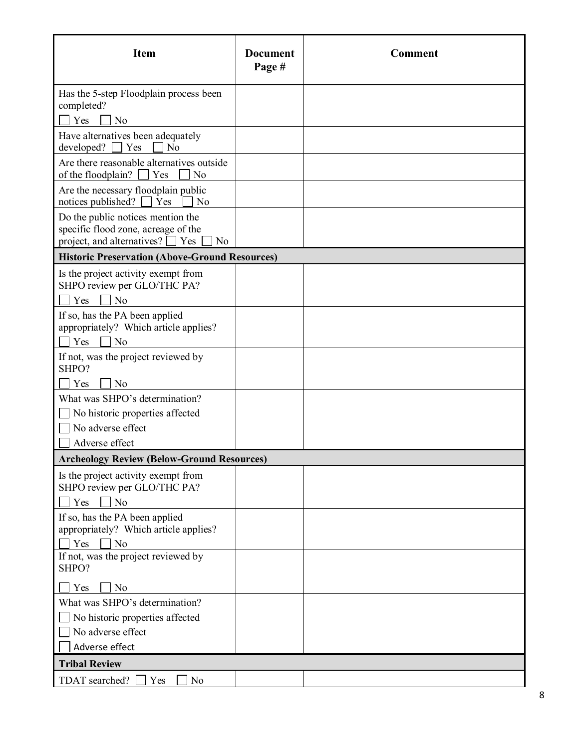| <b>Item</b>                                                                            | <b>Document</b><br>Page # | <b>Comment</b> |
|----------------------------------------------------------------------------------------|---------------------------|----------------|
| Has the 5-step Floodplain process been                                                 |                           |                |
| completed?                                                                             |                           |                |
| Yes<br>No                                                                              |                           |                |
| Have alternatives been adequately                                                      |                           |                |
| developed?<br>Yes<br>N <sub>o</sub>                                                    |                           |                |
| Are there reasonable alternatives outside<br>of the floodplain? [<br>$\vert$ Yes<br>No |                           |                |
| Are the necessary floodplain public                                                    |                           |                |
| notices published?<br>$\vert$ Yes<br>No                                                |                           |                |
| Do the public notices mention the                                                      |                           |                |
| specific flood zone, acreage of the<br>project, and alternatives? $\Box$ Yes<br>No     |                           |                |
| <b>Historic Preservation (Above-Ground Resources)</b>                                  |                           |                |
| Is the project activity exempt from                                                    |                           |                |
| SHPO review per GLO/THC PA?                                                            |                           |                |
| N <sub>o</sub><br>Yes                                                                  |                           |                |
| If so, has the PA been applied                                                         |                           |                |
| appropriately? Which article applies?<br>Yes<br>No                                     |                           |                |
| If not, was the project reviewed by                                                    |                           |                |
| SHPO?                                                                                  |                           |                |
| No<br>Yes                                                                              |                           |                |
| What was SHPO's determination?                                                         |                           |                |
| No historic properties affected                                                        |                           |                |
| No adverse effect                                                                      |                           |                |
| Adverse effect                                                                         |                           |                |
| <b>Archeology Review (Below-Ground Resources)</b>                                      |                           |                |
| Is the project activity exempt from<br>SHPO review per GLO/THC PA?                     |                           |                |
| N <sub>o</sub><br>Yes                                                                  |                           |                |
| If so, has the PA been applied                                                         |                           |                |
| appropriately? Which article applies?                                                  |                           |                |
| Yes<br>No                                                                              |                           |                |
| If not, was the project reviewed by<br>SHPO?                                           |                           |                |
| Yes<br>No                                                                              |                           |                |
| What was SHPO's determination?                                                         |                           |                |
| No historic properties affected                                                        |                           |                |
| No adverse effect                                                                      |                           |                |
| Adverse effect                                                                         |                           |                |
| <b>Tribal Review</b>                                                                   |                           |                |
| TDAT searched?<br>N <sub>o</sub><br>Yes                                                |                           |                |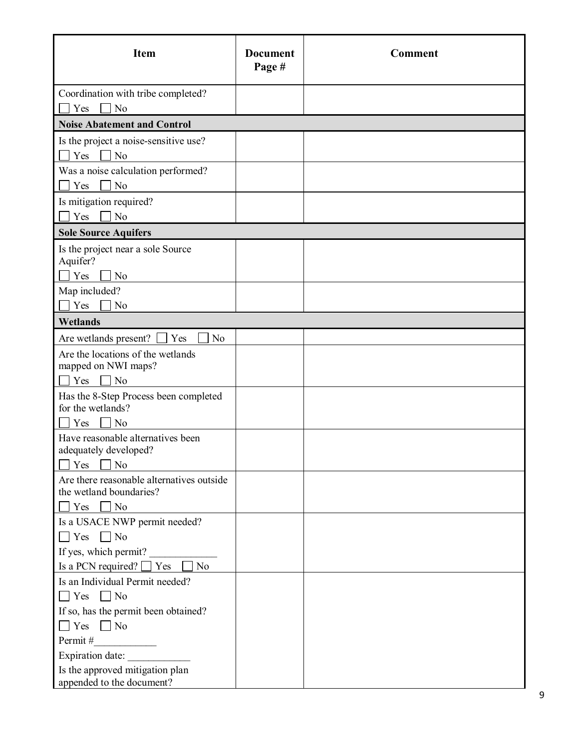| <b>Item</b>                                                  | <b>Document</b><br>Page # | <b>Comment</b> |
|--------------------------------------------------------------|---------------------------|----------------|
| Coordination with tribe completed?<br>No<br>Yes              |                           |                |
| <b>Noise Abatement and Control</b>                           |                           |                |
| Is the project a noise-sensitive use?                        |                           |                |
| Yes<br>N <sub>o</sub>                                        |                           |                |
| Was a noise calculation performed?                           |                           |                |
| No<br>Yes                                                    |                           |                |
| Is mitigation required?                                      |                           |                |
| N <sub>o</sub><br>Yes                                        |                           |                |
| <b>Sole Source Aquifers</b>                                  |                           |                |
| Is the project near a sole Source                            |                           |                |
| Aquifer?<br>Yes<br>N <sub>o</sub>                            |                           |                |
| Map included?                                                |                           |                |
| N <sub>o</sub><br>Yes                                        |                           |                |
| <b>Wetlands</b>                                              |                           |                |
| Are wetlands present?<br>Yes<br>N <sub>o</sub>               |                           |                |
| Are the locations of the wetlands                            |                           |                |
| mapped on NWI maps?                                          |                           |                |
| N <sub>o</sub><br>Yes                                        |                           |                |
| Has the 8-Step Process been completed<br>for the wetlands?   |                           |                |
| Yes<br>N <sub>o</sub>                                        |                           |                |
| Have reasonable alternatives been                            |                           |                |
| adequately developed?                                        |                           |                |
| Yes<br>No                                                    |                           |                |
| Are there reasonable alternatives outside                    |                           |                |
| the wetland boundaries?<br>N <sub>o</sub><br>Yes             |                           |                |
| Is a USACE NWP permit needed?                                |                           |                |
| $\Box$ Yes $\Box$ No                                         |                           |                |
| If yes, which permit?                                        |                           |                |
| Is a PCN required? $\Box$ Yes<br>N <sub>o</sub>              |                           |                |
| Is an Individual Permit needed?                              |                           |                |
| $\Box$ Yes $\Box$ No                                         |                           |                |
| If so, has the permit been obtained?                         |                           |                |
| $\Box$ No<br>$\Box$ Yes                                      |                           |                |
| Permit#                                                      |                           |                |
| Expiration date:                                             |                           |                |
| Is the approved mitigation plan<br>appended to the document? |                           |                |